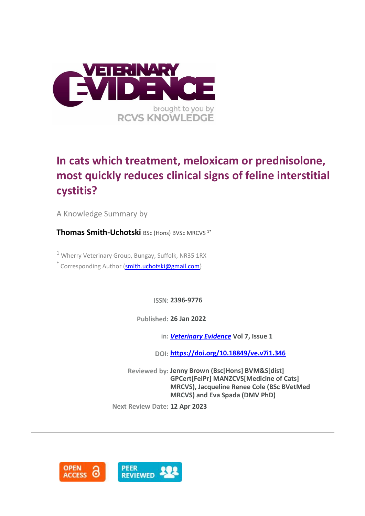

# **In cats which treatment, meloxicam or prednisolone, most quickly reduces clinical signs of feline interstitial cystitis?**

A Knowledge Summary by

**Thomas Smith-Uchotski** BSc (Hons) BVSc MRCVS 1\*

 $1$  Wherry Veterinary Group, Bungay, Suffolk, NR35 1RX

\* Corresponding Author [\(smith.uchotski@gmail.com\)](smith.uchotski@gmail.com)

**ISSN: 2396-9776**

**Published: 26 Jan 2022**

**in:** *[Veterinary Evidence](https://veterinaryevidence.org/index.php/ve)* **Vol 7, Issue 1**

**DOI: <https://doi.org/10.18849/ve.v7i1.346>**

**Reviewed by: Jenny Brown (Bsc[Hons] BVM&S[dist] GPCert[FelPr] MANZCVS[Medicine of Cats] MRCVS), Jacqueline Renee Cole (BSc BVetMed MRCVS) and Eva Spada (DMV PhD)**

**Next Review Date: 12 Apr 2023**

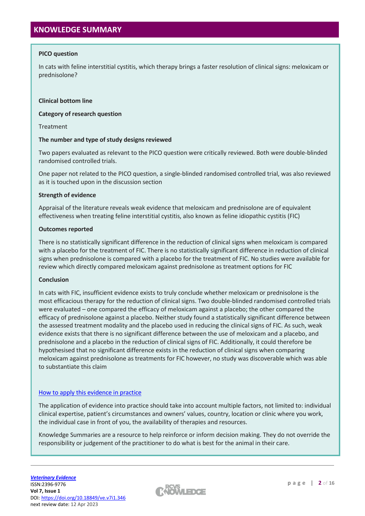# **PICO question**

In cats with feline interstitial cystitis, which therapy brings a faster resolution of clinical signs: meloxicam or prednisolone?

## **Clinical bottom line**

### **Category of research question**

Treatment

### **The number and type of study designs reviewed**

Two papers evaluated as relevant to the PICO question were critically reviewed. Both were double-blinded randomised controlled trials.

One paper not related to the PICO question, a single-blinded randomised controlled trial, was also reviewed as it is touched upon in the discussion section

### **Strength of evidence**

Appraisal of the literature reveals weak evidence that meloxicam and prednisolone are of equivalent effectiveness when treating feline interstitial cystitis, also known as feline idiopathic cystitis (FIC)

### **Outcomes reported**

There is no statistically significant difference in the reduction of clinical signs when meloxicam is compared with a placebo for the treatment of FIC. There is no statistically significant difference in reduction of clinical signs when prednisolone is compared with a placebo for the treatment of FIC. No studies were available for review which directly compared meloxicam against prednisolone as treatment options for FIC

#### **Conclusion**

In cats with FIC, insufficient evidence exists to truly conclude whether meloxicam or prednisolone is the most efficacious therapy for the reduction of clinical signs. Two double-blinded randomised controlled trials were evaluated – one compared the efficacy of meloxicam against a placebo; the other compared the efficacy of prednisolone against a placebo. Neither study found a statistically significant difference between the assessed treatment modality and the placebo used in reducing the clinical signs of FIC. As such, weak evidence exists that there is no significant difference between the use of meloxicam and a placebo, and prednisolone and a placebo in the reduction of clinical signs of FIC. Additionally, it could therefore be hypothesised that no significant difference exists in the reduction of clinical signs when comparing meloxicam against prednisolone as treatments for FIC however, no study was discoverable which was able to substantiate this claim

## [How to apply this evidence in practice](https://learn.rcvsknowledge.org/mod/book/view.php?id=50)

The application of evidence into practice should take into account multiple factors, not limited to: individual clinical expertise, patient's circumstances and owners' values, country, location or clinic where you work, the individual case in front of you, the availability of therapies and resources.

Knowledge Summaries are a resource to help reinforce or inform decision making. They do not override the responsibility or judgement of the practitioner to do what is best for the animal in their care.

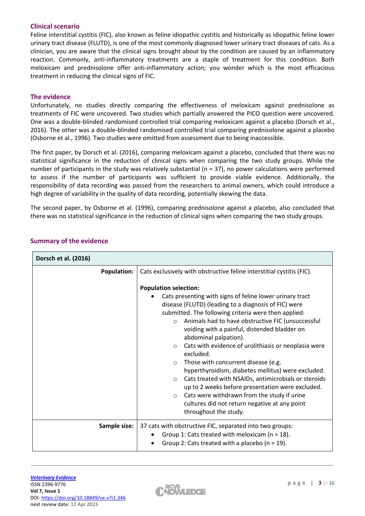# **Clinical scenario**

Feline interstitial cystitis (FIC), also known as feline idiopathic cystitis and historically as idiopathic feline lower urinary tract disease (FLUTD), is one of the most commonly diagnosed lower urinary tract diseases of cats. As a clinician, you are aware that the clinical signs brought about by the condition are caused by an inflammatory reaction. Commonly, anti-inflammatory treatments are a staple of treatment for this condition. Both meloxicam and prednisolone offer anti-inflammatory action; you wonder which is the most efficacious treatment in reducing the clinical signs of FIC.

# **The evidence**

Unfortunately, no studies directly comparing the effectiveness of meloxicam against prednisolone as treatments of FIC were uncovered. Two studies which partially answered the PICO question were uncovered. One was a double-blinded randomised controlled trial comparing meloxicam against a placebo (Dorsch et al., 2016). The other was a double-blinded randomised controlled trial comparing prednisolone against a placebo (Osborne et al., 1996). Two studies were omitted from assessment due to being inaccessible.

The first paper, by Dorsch et al. (2016), comparing meloxicam against a placebo, concluded that there was no statistical significance in the reduction of clinical signs when comparing the two study groups. While the number of participants in the study was relatively substantial ( $n = 37$ ), no power calculations were performed to assess if the number of participants was sufficient to provide viable evidence. Additionally, the responsibility of data recording was passed from the researchers to animal owners, which could introduce a high degree of variability in the quality of data recording, potentially skewing the data.

The second paper, by Osborne et al. (1996), comparing prednisolone against a placebo, also concluded that there was no statistical significance in the reduction of clinical signs when comparing the two study groups.

| Dorsch et al. (2016) |                                                                                                                                                                                                                                                                                                                                                                                                                                                                                                                                                                                                                                                                                                                                                                                                      |  |  |  |  |
|----------------------|------------------------------------------------------------------------------------------------------------------------------------------------------------------------------------------------------------------------------------------------------------------------------------------------------------------------------------------------------------------------------------------------------------------------------------------------------------------------------------------------------------------------------------------------------------------------------------------------------------------------------------------------------------------------------------------------------------------------------------------------------------------------------------------------------|--|--|--|--|
| <b>Population:</b>   | Cats exclusively with obstructive feline interstitial cystitis (FIC).                                                                                                                                                                                                                                                                                                                                                                                                                                                                                                                                                                                                                                                                                                                                |  |  |  |  |
|                      | <b>Population selection:</b><br>Cats presenting with signs of feline lower urinary tract<br>disease (FLUTD) (leading to a diagnosis of FIC) were<br>submitted. The following criteria were then applied:<br>Animals had to have obstructive FIC (unsuccessful<br>$\circ$<br>voiding with a painful, distended bladder on<br>abdominal palpation).<br>Cats with evidence of urolithiasis or neoplasia were<br>$\circ$<br>excluded.<br>Those with concurrent disease (e.g.<br>$\circ$<br>hyperthyroidism, diabetes mellitus) were excluded.<br>Cats treated with NSAIDs, antimicrobials or steroids<br>$\circ$<br>up to 2 weeks before presentation were excluded.<br>Cats were withdrawn from the study if urine<br>$\circ$<br>cultures did not return negative at any point<br>throughout the study. |  |  |  |  |
| Sample size:         | 37 cats with obstructive FIC, separated into two groups:<br>Group 1: Cats treated with meloxicam ( $n = 18$ ).<br>Group 2: Cats treated with a placebo ( $n = 19$ ).                                                                                                                                                                                                                                                                                                                                                                                                                                                                                                                                                                                                                                 |  |  |  |  |

# **Summary of the evidence**

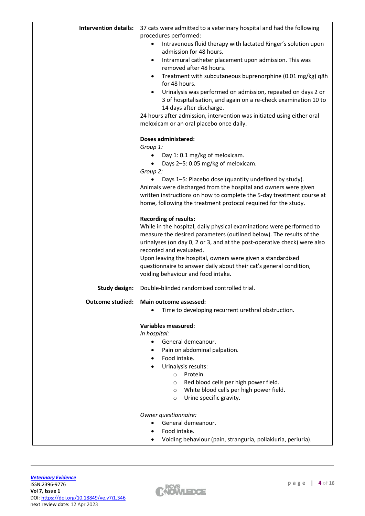| <b>Intervention details:</b> | 37 cats were admitted to a veterinary hospital and had the following<br>procedures performed:                                                                            |  |  |  |  |
|------------------------------|--------------------------------------------------------------------------------------------------------------------------------------------------------------------------|--|--|--|--|
|                              | Intravenous fluid therapy with lactated Ringer's solution upon<br>٠<br>admission for 48 hours.                                                                           |  |  |  |  |
|                              | Intramural catheter placement upon admission. This was<br>$\bullet$<br>removed after 48 hours.                                                                           |  |  |  |  |
|                              | Treatment with subcutaneous buprenorphine (0.01 mg/kg) q8h<br>$\bullet$<br>for 48 hours.                                                                                 |  |  |  |  |
|                              | Urinalysis was performed on admission, repeated on days 2 or<br>$\bullet$<br>3 of hospitalisation, and again on a re-check examination 10 to<br>14 days after discharge. |  |  |  |  |
|                              | 24 hours after admission, intervention was initiated using either oral<br>meloxicam or an oral placebo once daily.                                                       |  |  |  |  |
|                              | <b>Doses administered:</b>                                                                                                                                               |  |  |  |  |
|                              | Group 1:                                                                                                                                                                 |  |  |  |  |
|                              | Day 1: 0.1 mg/kg of meloxicam.                                                                                                                                           |  |  |  |  |
|                              | Days 2-5: 0.05 mg/kg of meloxicam.                                                                                                                                       |  |  |  |  |
|                              | Group 2:                                                                                                                                                                 |  |  |  |  |
|                              | Days 1-5: Placebo dose (quantity undefined by study).                                                                                                                    |  |  |  |  |
|                              | Animals were discharged from the hospital and owners were given                                                                                                          |  |  |  |  |
|                              | written instructions on how to complete the 5-day treatment course at<br>home, following the treatment protocol required for the study.                                  |  |  |  |  |
|                              |                                                                                                                                                                          |  |  |  |  |
|                              | <b>Recording of results:</b>                                                                                                                                             |  |  |  |  |
|                              | While in the hospital, daily physical examinations were performed to                                                                                                     |  |  |  |  |
|                              | measure the desired parameters (outlined below). The results of the                                                                                                      |  |  |  |  |
|                              | urinalyses (on day 0, 2 or 3, and at the post-operative check) were also                                                                                                 |  |  |  |  |
|                              | recorded and evaluated.                                                                                                                                                  |  |  |  |  |
|                              | Upon leaving the hospital, owners were given a standardised                                                                                                              |  |  |  |  |
|                              | questionnaire to answer daily about their cat's general condition,<br>voiding behaviour and food intake.                                                                 |  |  |  |  |
|                              |                                                                                                                                                                          |  |  |  |  |
| <b>Study design:</b>         | Double-blinded randomised controlled trial.                                                                                                                              |  |  |  |  |
| <b>Outcome studied:</b>      | Main outcome assessed:                                                                                                                                                   |  |  |  |  |
|                              | Time to developing recurrent urethral obstruction.                                                                                                                       |  |  |  |  |
|                              | <b>Variables measured:</b>                                                                                                                                               |  |  |  |  |
|                              | In hospital:                                                                                                                                                             |  |  |  |  |
|                              | General demeanour.<br>$\bullet$                                                                                                                                          |  |  |  |  |
|                              | Pain on abdominal palpation.                                                                                                                                             |  |  |  |  |
|                              | Food intake.<br>٠                                                                                                                                                        |  |  |  |  |
|                              | Urinalysis results:                                                                                                                                                      |  |  |  |  |
|                              | Protein.<br>$\circ$                                                                                                                                                      |  |  |  |  |
|                              | Red blood cells per high power field.<br>O                                                                                                                               |  |  |  |  |
|                              | White blood cells per high power field.<br>$\circ$                                                                                                                       |  |  |  |  |
|                              | Urine specific gravity.<br>$\circ$                                                                                                                                       |  |  |  |  |
|                              | Owner questionnaire:                                                                                                                                                     |  |  |  |  |
|                              | General demeanour.                                                                                                                                                       |  |  |  |  |
|                              | Food intake.                                                                                                                                                             |  |  |  |  |
|                              | Voiding behaviour (pain, stranguria, pollakiuria, periuria).                                                                                                             |  |  |  |  |

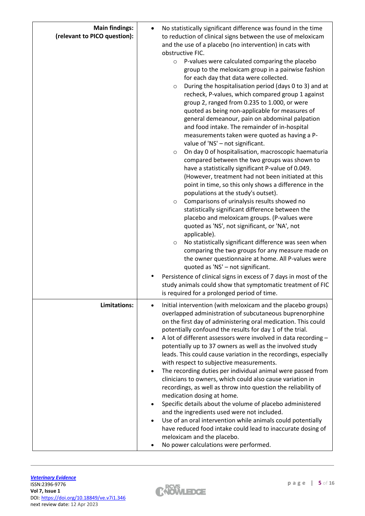| <b>Main findings:</b><br>(relevant to PICO question): | No statistically significant difference was found in the time<br>to reduction of clinical signs between the use of meloxicam<br>and the use of a placebo (no intervention) in cats with<br>obstructive FIC.<br>P-values were calculated comparing the placebo<br>$\circ$<br>group to the meloxicam group in a pairwise fashion<br>for each day that data were collected.<br>During the hospitalisation period (days 0 to 3) and at<br>$\circ$<br>recheck, P-values, which compared group 1 against<br>group 2, ranged from 0.235 to 1.000, or were<br>quoted as being non-applicable for measures of<br>general demeanour, pain on abdominal palpation<br>and food intake. The remainder of in-hospital<br>measurements taken were quoted as having a P-<br>value of 'NS' - not significant.<br>On day 0 of hospitalisation, macroscopic haematuria<br>$\circ$<br>compared between the two groups was shown to<br>have a statistically significant P-value of 0.049.<br>(However, treatment had not been initiated at this<br>point in time, so this only shows a difference in the<br>populations at the study's outset).<br>Comparisons of urinalysis results showed no<br>$\circ$<br>statistically significant difference between the<br>placebo and meloxicam groups. (P-values were<br>quoted as 'NS', not significant, or 'NA', not<br>applicable).<br>No statistically significant difference was seen when<br>$\circ$<br>comparing the two groups for any measure made on<br>the owner questionnaire at home. All P-values were<br>quoted as 'NS' - not significant.<br>Persistence of clinical signs in excess of 7 days in most of the<br>study animals could show that symptomatic treatment of FIC<br>is required for a prolonged period of time. |
|-------------------------------------------------------|---------------------------------------------------------------------------------------------------------------------------------------------------------------------------------------------------------------------------------------------------------------------------------------------------------------------------------------------------------------------------------------------------------------------------------------------------------------------------------------------------------------------------------------------------------------------------------------------------------------------------------------------------------------------------------------------------------------------------------------------------------------------------------------------------------------------------------------------------------------------------------------------------------------------------------------------------------------------------------------------------------------------------------------------------------------------------------------------------------------------------------------------------------------------------------------------------------------------------------------------------------------------------------------------------------------------------------------------------------------------------------------------------------------------------------------------------------------------------------------------------------------------------------------------------------------------------------------------------------------------------------------------------------------------------------------------------------------------------------------------------------------|
| Limitations:                                          | Initial intervention (with meloxicam and the placebo groups)<br>overlapped administration of subcutaneous buprenorphine<br>on the first day of administering oral medication. This could<br>potentially confound the results for day 1 of the trial.<br>A lot of different assessors were involved in data recording -<br>potentially up to 37 owners as well as the involved study<br>leads. This could cause variation in the recordings, especially<br>with respect to subjective measurements.<br>The recording duties per individual animal were passed from<br>clinicians to owners, which could also cause variation in<br>recordings, as well as throw into question the reliability of<br>medication dosing at home.<br>Specific details about the volume of placebo administered<br>and the ingredients used were not included.<br>Use of an oral intervention while animals could potentially<br>have reduced food intake could lead to inaccurate dosing of<br>meloxicam and the placebo.<br>No power calculations were performed.                                                                                                                                                                                                                                                                                                                                                                                                                                                                                                                                                                                                                                                                                                                |

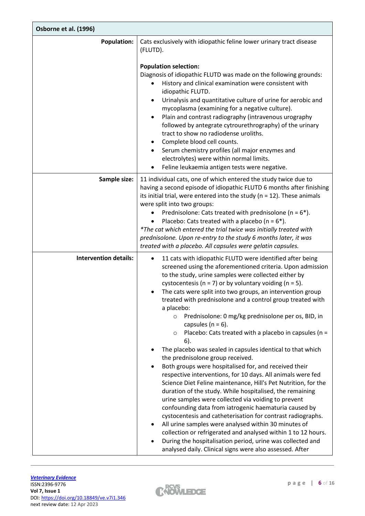| Osborne et al. (1996)        |                                                                                                                                                                                                                                                                                                                                                                                                                                                                                                                                                                                                                                                                                                                                                                                                    |  |  |  |  |  |
|------------------------------|----------------------------------------------------------------------------------------------------------------------------------------------------------------------------------------------------------------------------------------------------------------------------------------------------------------------------------------------------------------------------------------------------------------------------------------------------------------------------------------------------------------------------------------------------------------------------------------------------------------------------------------------------------------------------------------------------------------------------------------------------------------------------------------------------|--|--|--|--|--|
| <b>Population:</b>           | Cats exclusively with idiopathic feline lower urinary tract disease<br>(FLUTD).                                                                                                                                                                                                                                                                                                                                                                                                                                                                                                                                                                                                                                                                                                                    |  |  |  |  |  |
|                              | <b>Population selection:</b><br>Diagnosis of idiopathic FLUTD was made on the following grounds:<br>History and clinical examination were consistent with<br>idiopathic FLUTD.<br>Urinalysis and quantitative culture of urine for aerobic and<br>٠<br>mycoplasma (examining for a negative culture).<br>Plain and contrast radiography (intravenous urography<br>$\bullet$<br>followed by antegrate cytrourethrography) of the urinary<br>tract to show no radiodense uroliths.<br>Complete blood cell counts.<br>$\bullet$<br>Serum chemistry profiles (all major enzymes and<br>electrolytes) were within normal limits.<br>Feline leukaemia antigen tests were negative.                                                                                                                       |  |  |  |  |  |
| Sample size:                 | 11 individual cats, one of which entered the study twice due to<br>having a second episode of idiopathic FLUTD 6 months after finishing<br>its initial trial, were entered into the study ( $n = 12$ ). These animals                                                                                                                                                                                                                                                                                                                                                                                                                                                                                                                                                                              |  |  |  |  |  |
|                              | were split into two groups:<br>Prednisolone: Cats treated with prednisolone ( $n = 6$ <sup>*</sup> ).<br>Placebo: Cats treated with a placebo ( $n = 6$ *).                                                                                                                                                                                                                                                                                                                                                                                                                                                                                                                                                                                                                                        |  |  |  |  |  |
|                              | *The cat which entered the trial twice was initially treated with<br>prednisolone. Upon re-entry to the study 6 months later, it was<br>treated with a placebo. All capsules were gelatin capsules.                                                                                                                                                                                                                                                                                                                                                                                                                                                                                                                                                                                                |  |  |  |  |  |
| <b>Intervention details:</b> | 11 cats with idiopathic FLUTD were identified after being<br>screened using the aforementioned criteria. Upon admission<br>to the study, urine samples were collected either by<br>cystocentesis ( $n = 7$ ) or by voluntary voiding ( $n = 5$ ).<br>The cats were split into two groups, an intervention group<br>treated with prednisolone and a control group treated with<br>a placebo:<br>Prednisolone: 0 mg/kg prednisolone per os, BID, in<br>$\circ$<br>capsules ( $n = 6$ ).<br>Placebo: Cats treated with a placebo in capsules ( $n =$<br>$\circ$<br>6).<br>The placebo was sealed in capsules identical to that which<br>the prednisolone group received.<br>Both groups were hospitalised for, and received their<br>٠<br>respective interventions, for 10 days. All animals were fed |  |  |  |  |  |
|                              | Science Diet Feline maintenance, Hill's Pet Nutrition, for the<br>duration of the study. While hospitalised, the remaining<br>urine samples were collected via voiding to prevent<br>confounding data from iatrogenic haematuria caused by<br>cystocentesis and catheterisation for contrast radiographs.<br>All urine samples were analysed within 30 minutes of<br>collection or refrigerated and analysed within 1 to 12 hours.<br>During the hospitalisation period, urine was collected and<br>analysed daily. Clinical signs were also assessed. After                                                                                                                                                                                                                                       |  |  |  |  |  |

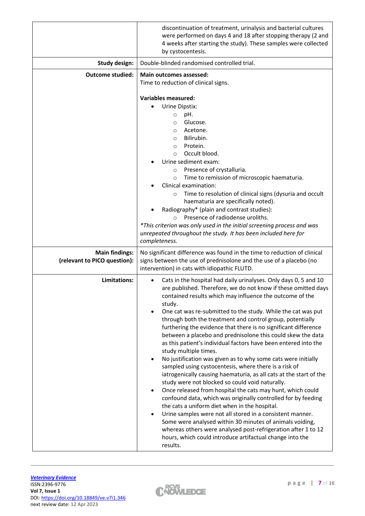|                                                       | discontinuation of treatment, urinalysis and bacterial cultures<br>were performed on days 4 and 18 after stopping therapy (2 and<br>4 weeks after starting the study). These samples were collected<br>by cystocentesis.                                                                                                                                                                                                                                                                                                                                                                                                                                                                                                                                                                                                                                                                                                                                                                                                                                                                                                                                                                                                                                                              |  |  |  |  |  |
|-------------------------------------------------------|---------------------------------------------------------------------------------------------------------------------------------------------------------------------------------------------------------------------------------------------------------------------------------------------------------------------------------------------------------------------------------------------------------------------------------------------------------------------------------------------------------------------------------------------------------------------------------------------------------------------------------------------------------------------------------------------------------------------------------------------------------------------------------------------------------------------------------------------------------------------------------------------------------------------------------------------------------------------------------------------------------------------------------------------------------------------------------------------------------------------------------------------------------------------------------------------------------------------------------------------------------------------------------------|--|--|--|--|--|
| <b>Study design:</b>                                  | Double-blinded randomised controlled trial.                                                                                                                                                                                                                                                                                                                                                                                                                                                                                                                                                                                                                                                                                                                                                                                                                                                                                                                                                                                                                                                                                                                                                                                                                                           |  |  |  |  |  |
| <b>Outcome studied:</b>                               | <b>Main outcomes assessed:</b><br>Time to reduction of clinical signs.                                                                                                                                                                                                                                                                                                                                                                                                                                                                                                                                                                                                                                                                                                                                                                                                                                                                                                                                                                                                                                                                                                                                                                                                                |  |  |  |  |  |
|                                                       | <b>Variables measured:</b><br>Urine Dipstix:<br>pH.<br>$\circ$<br>Glucose.<br>$\Omega$<br>Acetone.<br>$\circ$<br>Bilirubin.<br>$\Omega$<br>Protein.<br>$\circ$<br>Occult blood.<br>$\Omega$<br>Urine sediment exam:<br>Presence of crystalluria.<br>$\circ$<br>Time to remission of microscopic haematuria.<br>$\circ$<br>Clinical examination:<br>Time to resolution of clinical signs (dysuria and occult<br>$\circ$<br>haematuria are specifically noted).<br>Radiography* (plain and contrast studies):<br>Presence of radiodense uroliths.<br>$\circ$<br>*This criterion was only used in the initial screening process and was<br>unrepeated throughout the study. It has been included here for<br>completeness.                                                                                                                                                                                                                                                                                                                                                                                                                                                                                                                                                               |  |  |  |  |  |
| <b>Main findings:</b><br>(relevant to PICO question): | No significant difference was found in the time to reduction of clinical<br>signs between the use of prednisolone and the use of a placebo (no<br>intervention) in cats with idiopathic FLUTD.                                                                                                                                                                                                                                                                                                                                                                                                                                                                                                                                                                                                                                                                                                                                                                                                                                                                                                                                                                                                                                                                                        |  |  |  |  |  |
| Limitations:                                          | Cats in the hospital had daily urinalyses. Only days 0, 5 and 10<br>are published. Therefore, we do not know if these omitted days<br>contained results which may influence the outcome of the<br>study.<br>One cat was re-submitted to the study. While the cat was put<br>through both the treatment and control group, potentially<br>furthering the evidence that there is no significant difference<br>between a placebo and prednisolone this could skew the data<br>as this patient's individual factors have been entered into the<br>study multiple times.<br>No justification was given as to why some cats were initially<br>sampled using cystocentesis, where there is a risk of<br>iatrogenically causing haematuria, as all cats at the start of the<br>study were not blocked so could void naturally.<br>Once released from hospital the cats may hunt, which could<br>$\bullet$<br>confound data, which was originally controlled for by feeding<br>the cats a uniform diet when in the hospital.<br>Urine samples were not all stored in a consistent manner.<br>Some were analysed within 30 minutes of animals voiding,<br>whereas others were analysed post-refrigeration after 1 to 12<br>hours, which could introduce artifactual change into the<br>results. |  |  |  |  |  |

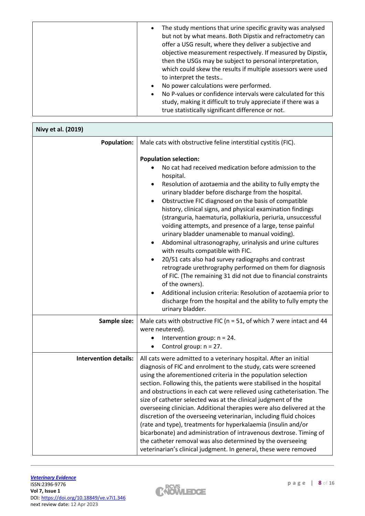| The study mentions that urine specific gravity was analysed<br>$\bullet$<br>but not by what means. Both Dipstix and refractometry can<br>offer a USG result, where they deliver a subjective and<br>objective measurement respectively. If measured by Dipstix,<br>then the USGs may be subject to personal interpretation,<br>which could skew the results if multiple assessors were used<br>to interpret the tests |
|-----------------------------------------------------------------------------------------------------------------------------------------------------------------------------------------------------------------------------------------------------------------------------------------------------------------------------------------------------------------------------------------------------------------------|
| No power calculations were performed.<br>$\bullet$                                                                                                                                                                                                                                                                                                                                                                    |
| No P-values or confidence intervals were calculated for this<br>$\bullet$                                                                                                                                                                                                                                                                                                                                             |
| study, making it difficult to truly appreciate if there was a<br>true statistically significant difference or not.                                                                                                                                                                                                                                                                                                    |

| Nivy et al. (2019)           |                                                                                                                                                                                                                                                                                                                                                                                                                                                                                                                                                                                                                                                                                                                                                                                                                                                                                                                                |  |  |  |
|------------------------------|--------------------------------------------------------------------------------------------------------------------------------------------------------------------------------------------------------------------------------------------------------------------------------------------------------------------------------------------------------------------------------------------------------------------------------------------------------------------------------------------------------------------------------------------------------------------------------------------------------------------------------------------------------------------------------------------------------------------------------------------------------------------------------------------------------------------------------------------------------------------------------------------------------------------------------|--|--|--|
| <b>Population:</b>           | Male cats with obstructive feline interstitial cystitis (FIC).<br><b>Population selection:</b><br>No cat had received medication before admission to the<br>hospital.                                                                                                                                                                                                                                                                                                                                                                                                                                                                                                                                                                                                                                                                                                                                                          |  |  |  |
|                              | Resolution of azotaemia and the ability to fully empty the<br>urinary bladder before discharge from the hospital.<br>Obstructive FIC diagnosed on the basis of compatible<br>$\bullet$<br>history, clinical signs, and physical examination findings<br>(stranguria, haematuria, pollakiuria, periuria, unsuccessful<br>voiding attempts, and presence of a large, tense painful<br>urinary bladder unamenable to manual voiding).<br>Abdominal ultrasonography, urinalysis and urine cultures<br>with results compatible with FIC.<br>20/51 cats also had survey radiographs and contrast<br>$\bullet$<br>retrograde urethrography performed on them for diagnosis<br>of FIC. (The remaining 31 did not due to financial constraints<br>of the owners).<br>Additional inclusion criteria: Resolution of azotaemia prior to<br>$\bullet$<br>discharge from the hospital and the ability to fully empty the<br>urinary bladder. |  |  |  |
| Sample size:                 | Male cats with obstructive FIC ( $n = 51$ , of which 7 were intact and 44<br>were neutered).<br>Intervention group: $n = 24$ .<br>Control group: $n = 27$ .<br>$\bullet$                                                                                                                                                                                                                                                                                                                                                                                                                                                                                                                                                                                                                                                                                                                                                       |  |  |  |
| <b>Intervention details:</b> | All cats were admitted to a veterinary hospital. After an initial<br>diagnosis of FIC and enrolment to the study, cats were screened<br>using the aforementioned criteria in the population selection<br>section. Following this, the patients were stabilised in the hospital<br>and obstructions in each cat were relieved using catheterisation. The<br>size of catheter selected was at the clinical judgment of the<br>overseeing clinician. Additional therapies were also delivered at the<br>discretion of the overseeing veterinarian, including fluid choices<br>(rate and type), treatments for hyperkalaemia (insulin and/or<br>bicarbonate) and administration of intravenous dextrose. Timing of<br>the catheter removal was also determined by the overseeing<br>veterinarian's clinical judgment. In general, these were removed                                                                               |  |  |  |

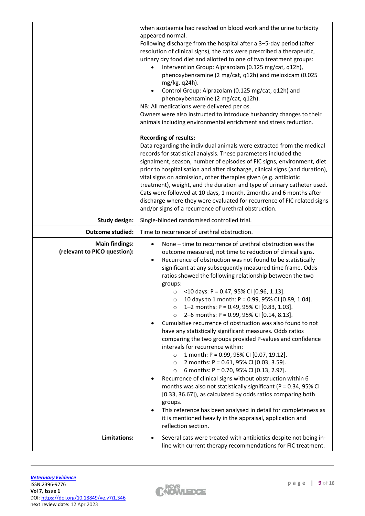|                                                       | when azotaemia had resolved on blood work and the urine turbidity<br>appeared normal.<br>Following discharge from the hospital after a 3-5-day period (after<br>resolution of clinical signs), the cats were prescribed a therapeutic,<br>urinary dry food diet and allotted to one of two treatment groups:<br>Intervention Group: Alprazolam (0.125 mg/cat, q12h),<br>٠<br>phenoxybenzamine (2 mg/cat, q12h) and meloxicam (0.025<br>mg/kg, q24h).<br>Control Group: Alprazolam (0.125 mg/cat, q12h) and<br>$\bullet$<br>phenoxybenzamine (2 mg/cat, q12h).<br>NB: All medications were delivered per os.<br>Owners were also instructed to introduce husbandry changes to their<br>animals including environmental enrichment and stress reduction.<br><b>Recording of results:</b><br>Data regarding the individual animals were extracted from the medical<br>records for statistical analysis. These parameters included the<br>signalment, season, number of episodes of FIC signs, environment, diet<br>prior to hospitalisation and after discharge, clinical signs (and duration),<br>vital signs on admission, other therapies given (e.g. antibiotic<br>treatment), weight, and the duration and type of urinary catheter used.<br>Cats were followed at 10 days, 1 month, 2months and 6 months after<br>discharge where they were evaluated for recurrence of FIC related signs<br>and/or signs of a recurrence of urethral obstruction. |  |  |  |  |
|-------------------------------------------------------|-------------------------------------------------------------------------------------------------------------------------------------------------------------------------------------------------------------------------------------------------------------------------------------------------------------------------------------------------------------------------------------------------------------------------------------------------------------------------------------------------------------------------------------------------------------------------------------------------------------------------------------------------------------------------------------------------------------------------------------------------------------------------------------------------------------------------------------------------------------------------------------------------------------------------------------------------------------------------------------------------------------------------------------------------------------------------------------------------------------------------------------------------------------------------------------------------------------------------------------------------------------------------------------------------------------------------------------------------------------------------------------------------------------------------------------------------------|--|--|--|--|
| <b>Study design:</b>                                  | Single-blinded randomised controlled trial.                                                                                                                                                                                                                                                                                                                                                                                                                                                                                                                                                                                                                                                                                                                                                                                                                                                                                                                                                                                                                                                                                                                                                                                                                                                                                                                                                                                                           |  |  |  |  |
| <b>Outcome studied:</b>                               | Time to recurrence of urethral obstruction.                                                                                                                                                                                                                                                                                                                                                                                                                                                                                                                                                                                                                                                                                                                                                                                                                                                                                                                                                                                                                                                                                                                                                                                                                                                                                                                                                                                                           |  |  |  |  |
| <b>Main findings:</b><br>(relevant to PICO question): | None – time to recurrence of urethral obstruction was the<br>outcome measured, not time to reduction of clinical signs.<br>Recurrence of obstruction was not found to be statistically<br>$\bullet$<br>significant at any subsequently measured time frame. Odds<br>ratios showed the following relationship between the two<br>groups:<br><10 days: $P = 0.47$ , 95% CI [0.96, 1.13].<br>$\circ$<br>10 days to 1 month: P = 0.99, 95% CI [0.89, 1.04].<br>$\circ$<br>1-2 months: P = 0.49, 95% CI [0.83, 1.03].<br>$\circ$<br>2-6 months: P = 0.99, 95% CI [0.14, 8.13].<br>$\circ$<br>Cumulative recurrence of obstruction was also found to not<br>have any statistically significant measures. Odds ratios<br>comparing the two groups provided P-values and confidence<br>intervals for recurrence within:<br>1 month: P = 0.99, 95% CI [0.07, 19.12].<br>$\circ$<br>2 months: P = 0.61, 95% CI [0.03, 3.59].<br>$\circ$<br>6 months: P = 0.70, 95% CI [0.13, 2.97].<br>$\circ$<br>Recurrence of clinical signs without obstruction within 6<br>months was also not statistically significant ( $P = 0.34$ , 95% CI<br>[0.33, 36.67]), as calculated by odds ratios comparing both<br>groups.<br>This reference has been analysed in detail for completeness as<br>$\bullet$<br>it is mentioned heavily in the appraisal, application and<br>reflection section.                                                                                 |  |  |  |  |
| Limitations:                                          | Several cats were treated with antibiotics despite not being in-<br>$\bullet$<br>line with current therapy recommendations for FIC treatment.                                                                                                                                                                                                                                                                                                                                                                                                                                                                                                                                                                                                                                                                                                                                                                                                                                                                                                                                                                                                                                                                                                                                                                                                                                                                                                         |  |  |  |  |

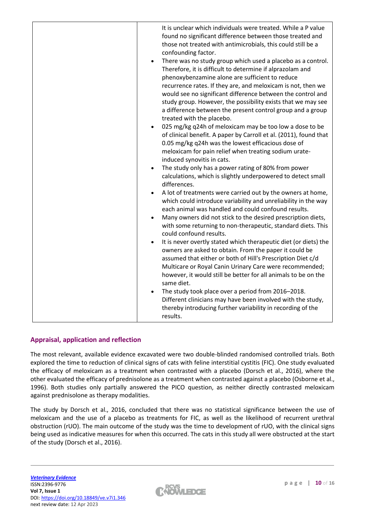# **Appraisal, application and reflection**

The most relevant, available evidence excavated were two double-blinded randomised controlled trials. Both explored the time to reduction of clinical signs of cats with feline interstitial cystitis (FIC). One study evaluated the efficacy of meloxicam as a treatment when contrasted with a placebo (Dorsch et al., 2016), where the other evaluated the efficacy of prednisolone as a treatment when contrasted against a placebo (Osborne et al., 1996). Both studies only partially answered the PICO question, as neither directly contrasted meloxicam against prednisolone as therapy modalities.

The study by Dorsch et al., 2016, concluded that there was no statistical significance between the use of meloxicam and the use of a placebo as treatments for FIC, as well as the likelihood of recurrent urethral obstruction (rUO). The main outcome of the study was the time to development of rUO, with the clinical signs being used as indicative measures for when this occurred. The cats in this study all were obstructed at the start of the study (Dorsch et al., 2016).

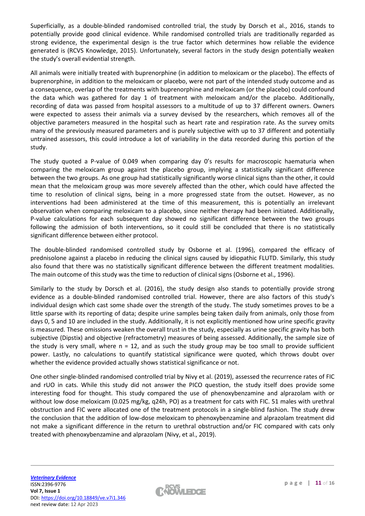Superficially, as a double-blinded randomised controlled trial, the study by Dorsch et al., 2016, stands to potentially provide good clinical evidence. While randomised controlled trials are traditionally regarded as strong evidence, the experimental design is the true factor which determines how reliable the evidence generated is (RCVS Knowledge, 2015). Unfortunately, several factors in the study design potentially weaken the study's overall evidential strength.

All animals were initially treated with buprenorphine (in addition to meloxicam or the placebo). The effects of buprenorphine, in addition to the meloxicam or placebo, were not part of the intended study outcome and as a consequence, overlap of the treatments with buprenorphine and meloxicam (or the placebo) could confound the data which was gathered for day 1 of treatment with meloxicam and/or the placebo. Additionally, recording of data was passed from hospital assessors to a multitude of up to 37 different owners. Owners were expected to assess their animals via a survey devised by the researchers, which removes all of the objective parameters measured in the hospital such as heart rate and respiration rate. As the survey omits many of the previously measured parameters and is purely subjective with up to 37 different and potentially untrained assessors, this could introduce a lot of variability in the data recorded during this portion of the study.

The study quoted a P-value of 0.049 when comparing day 0's results for macroscopic haematuria when comparing the meloxicam group against the placebo group, implying a statistically significant difference between the two groups. As one group had statistically significantly worse clinical signs than the other, it could mean that the meloxicam group was more severely affected than the other, which could have affected the time to resolution of clinical signs, being in a more progressed state from the outset. However, as no interventions had been administered at the time of this measurement, this is potentially an irrelevant observation when comparing meloxicam to a placebo, since neither therapy had been initiated. Additionally, P-value calculations for each subsequent day showed no significant difference between the two groups following the admission of both interventions, so it could still be concluded that there is no statistically significant difference between either protocol.

The double-blinded randomised controlled study by Osborne et al. (1996), compared the efficacy of prednisolone against a placebo in reducing the clinical signs caused by idiopathic FLUTD. Similarly, this study also found that there was no statistically significant difference between the different treatment modalities. The main outcome of this study was the time to reduction of clinical signs (Osborne et al., 1996).

Similarly to the study by Dorsch et al. (2016), the study design also stands to potentially provide strong evidence as a double-blinded randomised controlled trial. However, there are also factors of this study's individual design which cast some shade over the strength of the study. The study sometimes proves to be a little sparse with its reporting of data; despite urine samples being taken daily from animals, only those from days 0, 5 and 10 are included in the study. Additionally, it is not explicitly mentioned how urine specific gravity is measured. These omissions weaken the overall trust in the study, especially as urine specific gravity has both subjective (Dipstix) and objective (refractometry) measures of being assessed. Additionally, the sample size of the study is very small, where  $n = 12$ , and as such the study group may be too small to provide sufficient power. Lastly, no calculations to quantify statistical significance were quoted, which throws doubt over whether the evidence provided actually shows statistical significance or not.

One other single-blinded randomised controlled trial by Nivy et al. (2019), assessed the recurrence rates of FIC and rUO in cats. While this study did not answer the PICO question, the study itself does provide some interesting food for thought. This study compared the use of phenoxybenzamine and alprazolam with or without low dose meloxicam (0.025 mg/kg, q24h, PO) as a treatment for cats with FIC. 51 males with urethral obstruction and FIC were allocated one of the treatment protocols in a single-blind fashion. The study drew the conclusion that the addition of low-dose meloxicam to phenoxybenzamine and alprazolam treatment did not make a significant difference in the return to urethral obstruction and/or FIC compared with cats only treated with phenoxybenzamine and alprazolam (Nivy, et al., 2019).

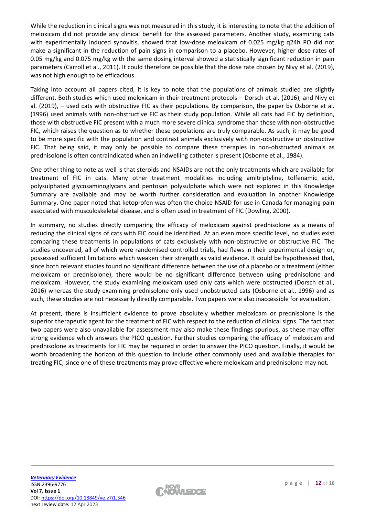While the reduction in clinical signs was not measured in this study, it is interesting to note that the addition of meloxicam did not provide any clinical benefit for the assessed parameters. Another study, examining cats with experimentally induced synovitis, showed that low-dose meloxicam of 0.025 mg/kg q24h PO did not make a significant in the reduction of pain signs in comparison to a placebo. However, higher dose rates of 0.05 mg/kg and 0.075 mg/kg with the same dosing interval showed a statistically significant reduction in pain parameters (Carroll et al., 2011). It could therefore be possible that the dose rate chosen by Nivy et al. (2019), was not high enough to be efficacious.

Taking into account all papers cited, it is key to note that the populations of animals studied are slightly different. Both studies which used meloxicam in their treatment protocols – Dorsch et al. (2016), and Nivy et al. (2019), – used cats with obstructive FIC as their populations. By comparison, the paper by Osborne et al. (1996) used animals with non-obstructive FIC as their study population. While all cats had FIC by definition, those with obstructive FIC present with a much more severe clinical syndrome than those with non-obstructive FIC, which raises the question as to whether these populations are truly comparable. As such, it may be good to be more specific with the population and contrast animals exclusively with non-obstructive or obstructive FIC. That being said, it may only be possible to compare these therapies in non-obstructed animals as prednisolone is often contraindicated when an indwelling catheter is present (Osborne et al., 1984).

One other thing to note as well is that steroids and NSAIDs are not the only treatments which are available for treatment of FIC in cats. Many other treatment modalities including amitriptyline, tolfenamic acid, polysulphated glycosaminoglycans and pentosan polysulphate which were not explored in this Knowledge Summary are available and may be worth further consideration and evaluation in another Knowledge Summary. One paper noted that ketoprofen was often the choice NSAID for use in Canada for managing pain associated with musculoskeletal disease, and is often used in treatment of FIC (Dowling, 2000).

In summary, no studies directly comparing the efficacy of meloxicam against prednisolone as a means of reducing the clinical signs of cats with FIC could be identified. At an even more specific level, no studies exist comparing these treatments in populations of cats exclusively with non-obstructive or obstructive FIC. The studies uncovered, all of which were randomised controlled trials, had flaws in their experimental design or, possessed sufficient limitations which weaken their strength as valid evidence. It could be hypothesised that, since both relevant studies found no significant difference between the use of a placebo or a treatment (either meloxicam or prednisolone), there would be no significant difference between using prednisolone and meloxicam. However, the study examining meloxicam used only cats which were obstructed (Dorsch et al., 2016) whereas the study examining prednisolone only used unobstructed cats (Osborne et al., 1996) and as such, these studies are not necessarily directly comparable. Two papers were also inaccessible for evaluation.

At present, there is insufficient evidence to prove absolutely whether meloxicam or prednisolone is the superior therapeutic agent for the treatment of FIC with respect to the reduction of clinical signs. The fact that two papers were also unavailable for assessment may also make these findings spurious, as these may offer strong evidence which answers the PICO question. Further studies comparing the efficacy of meloxicam and prednisolone as treatments for FIC may be required in order to answer the PICO question. Finally, it would be worth broadening the horizon of this question to include other commonly used and available therapies for treating FIC, since one of these treatments may prove effective where meloxicam and prednisolone may not.

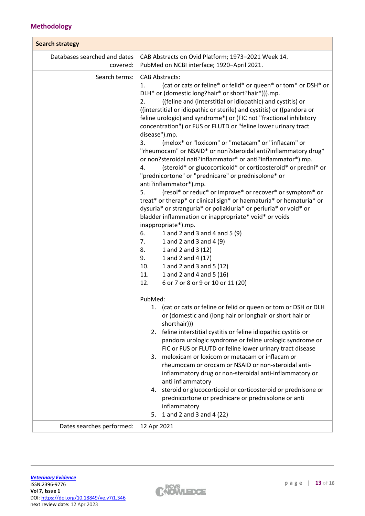# **Methodology**

| <b>Search strategy</b>                   |                                                                                                                                                                                                                                                                                                                                                                                                                                                                                                                                                                                                                                                                                                                                                                                                                                                                                                                                                                                                                                                                                                                                                                                                                                                                                                                     |  |  |  |  |
|------------------------------------------|---------------------------------------------------------------------------------------------------------------------------------------------------------------------------------------------------------------------------------------------------------------------------------------------------------------------------------------------------------------------------------------------------------------------------------------------------------------------------------------------------------------------------------------------------------------------------------------------------------------------------------------------------------------------------------------------------------------------------------------------------------------------------------------------------------------------------------------------------------------------------------------------------------------------------------------------------------------------------------------------------------------------------------------------------------------------------------------------------------------------------------------------------------------------------------------------------------------------------------------------------------------------------------------------------------------------|--|--|--|--|
| Databases searched and dates<br>covered: | CAB Abstracts on Ovid Platform; 1973-2021 Week 14.<br>PubMed on NCBI interface; 1920-April 2021.                                                                                                                                                                                                                                                                                                                                                                                                                                                                                                                                                                                                                                                                                                                                                                                                                                                                                                                                                                                                                                                                                                                                                                                                                    |  |  |  |  |
| Search terms:                            | <b>CAB Abstracts:</b><br>(cat or cats or feline* or felid* or queen* or tom* or DSH* or<br>1.<br>DLH* or (domestic long?hair* or short?hair*))).mp.<br>((feline and (interstitial or idiopathic) and cystitis) or<br>2.<br>((interstitial or idiopathic or sterile) and cystitis) or ((pandora or<br>feline urologic) and syndrome*) or (FIC not "fractional inhibitory<br>concentration") or FUS or FLUTD or "feline lower urinary tract<br>disease").mp.<br>(melox* or "loxicom" or "metacam" or "inflacam" or<br>3.<br>"rheumocam" or NSAID* or non?steroidal anti?inflammatory drug*<br>or non?steroidal nati?inflammator* or anti?inflammator*).mp.<br>(steroid* or glucocorticoid* or corticosteroid* or predni* or<br>4.<br>"prednicortone" or "prednicare" or prednisolone* or<br>anti?inflammator*).mp.<br>5.<br>(resol* or reduc* or improve* or recover* or symptom* or<br>treat* or therap* or clinical sign* or haematuria* or hematuria* or<br>dysuria* or stranguria* or pollakiuria* or periuria* or void* or<br>bladder inflammation or inappropriate* void* or voids<br>inappropriate*).mp.<br>6.<br>1 and 2 and 3 and 4 and 5 (9)<br>7.<br>1 and 2 and 3 and 4 (9)<br>1 and 2 and 3 (12)<br>8.<br>9.<br>1 and 2 and 4 (17)<br>10.<br>1 and 2 and 3 and 5 (12)<br>1 and 2 and 4 and 5 (16)<br>11. |  |  |  |  |
|                                          | 12.<br>6 or 7 or 8 or 9 or 10 or 11 (20)<br>PubMed:<br>1. (cat or cats or feline or felid or queen or tom or DSH or DLH<br>or (domestic and (long hair or longhair or short hair or<br>shorthair)))<br>2. feline interstitial cystitis or feline idiopathic cystitis or<br>pandora urologic syndrome or feline urologic syndrome or<br>FIC or FUS or FLUTD or feline lower urinary tract disease<br>meloxicam or loxicom or metacam or inflacam or<br>3.<br>rheumocam or orocam or NSAID or non-steroidal anti-<br>inflammatory drug or non-steroidal anti-inflammatory or<br>anti inflammatory<br>steroid or glucocorticoid or corticosteroid or prednisone or<br>4.<br>prednicortone or prednicare or prednisolone or anti<br>inflammatory<br>1 and 2 and 3 and 4 (22)<br>5.                                                                                                                                                                                                                                                                                                                                                                                                                                                                                                                                      |  |  |  |  |
| Dates searches performed:                | 12 Apr 2021                                                                                                                                                                                                                                                                                                                                                                                                                                                                                                                                                                                                                                                                                                                                                                                                                                                                                                                                                                                                                                                                                                                                                                                                                                                                                                         |  |  |  |  |

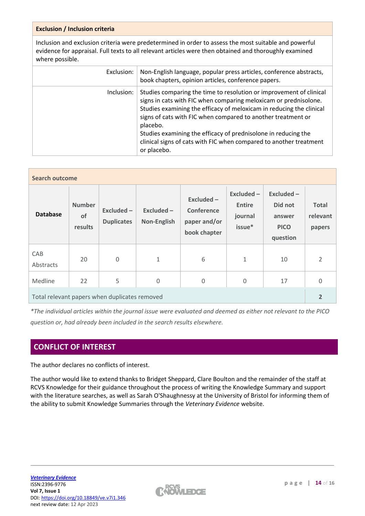# **Exclusion / Inclusion criteria**

Inclusion and exclusion criteria were predetermined in order to assess the most suitable and powerful evidence for appraisal. Full texts to all relevant articles were then obtained and thoroughly examined where possible.

| Exclusion: | Non-English language, popular press articles, conference abstracts,<br>book chapters, opinion articles, conference papers.                                                                                                                                                                                                                                                                                                                         |
|------------|----------------------------------------------------------------------------------------------------------------------------------------------------------------------------------------------------------------------------------------------------------------------------------------------------------------------------------------------------------------------------------------------------------------------------------------------------|
| Inclusion: | Studies comparing the time to resolution or improvement of clinical<br>signs in cats with FIC when comparing meloxicam or prednisolone.<br>Studies examining the efficacy of meloxicam in reducing the clinical<br>signs of cats with FIC when compared to another treatment or<br>placebo.<br>Studies examining the efficacy of prednisolone in reducing the<br>clinical signs of cats with FIC when compared to another treatment<br>or placebo. |

| <b>Search outcome</b>                         |                                |                                 |                             |                                                            |                                                  |                                                           |                                    |
|-----------------------------------------------|--------------------------------|---------------------------------|-----------------------------|------------------------------------------------------------|--------------------------------------------------|-----------------------------------------------------------|------------------------------------|
| <b>Database</b>                               | <b>Number</b><br>of<br>results | Excluded -<br><b>Duplicates</b> | $Excluded -$<br>Non-English | $Excluded -$<br>Conference<br>paper and/or<br>book chapter | Excluded -<br><b>Entire</b><br>journal<br>issue* | Excluded-<br>Did not<br>answer<br><b>PICO</b><br>question | <b>Total</b><br>relevant<br>papers |
| CAB<br>Abstracts                              | 20                             | 0                               | $\mathbf{1}$                | 6                                                          | $\mathbf 1$                                      | 10                                                        | $\overline{2}$                     |
| Medline                                       | 22                             | 5                               | $\Omega$                    | $\boldsymbol{0}$                                           | $\mathbf 0$                                      | 17                                                        | $\mathbf 0$                        |
| Total relevant papers when duplicates removed |                                |                                 |                             |                                                            | $\overline{2}$                                   |                                                           |                                    |

*\*The individual articles within the journal issue were evaluated and deemed as either not relevant to the PICO question or, had already been included in the search results elsewhere.*

# **CONFLICT OF INTEREST**

The author declares no conflicts of interest.

The author would like to extend thanks to Bridget Sheppard, Clare Boulton and the remainder of the staff at RCVS Knowledge for their guidance throughout the process of writing the Knowledge Summary and support with the literature searches, as well as Sarah O'Shaughnessy at the University of Bristol for informing them of the ability to submit Knowledge Summaries through the *Veterinary Evidence* website.

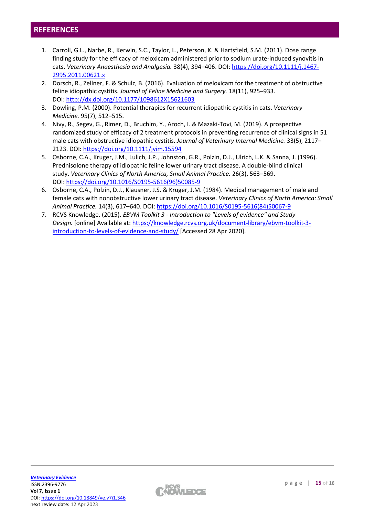# **REFERENCES**

- 1. Carroll, G.L., Narbe, R., Kerwin, S.C., Taylor, L., Peterson, K. & Hartsfield, S.M. (2011). Dose range finding study for the efficacy of meloxicam administered prior to sodium urate-induced synovitis in cats. *Veterinary Anaesthesia and Analgesia.* 38(4), 394–406. DOI: [https://doi.org/10.1111/j.1467-](https://doi.org/10.1111/j.1467-2995.2011.00621.x) [2995.2011.00621.x](https://doi.org/10.1111/j.1467-2995.2011.00621.x)
- 2. Dorsch, R., Zellner, F. & Schulz, B. (2016). Evaluation of meloxicam for the treatment of obstructive feline idiopathic cystitis. *Journal of Feline Medicine and Surgery.* 18(11), 925–933. DOI: <http://dx.doi.org/10.1177/1098612X15621603>
- 3. Dowling, P.M. (2000). Potential therapies for recurrent idiopathic cystitis in cats. *Veterinary Medicine.* 95(7), 512–515.
- 4. Nivy, R., Segev, G., Rimer, D., Bruchim, Y., Aroch, I. & Mazaki-Tovi, M. (2019). A prospective randomized study of efficacy of 2 treatment protocols in preventing recurrence of clinical signs in 51 male cats with obstructive idiopathic cystitis. *Journal of Veterinary Internal Medicine.* 33(5), 2117– 2123. DOI: <https://doi.org/10.1111/jvim.15594>
- 5. Osborne, C.A., Kruger, J.M., Lulich, J.P., Johnston, G.R., Polzin, D.J., Ulrich, L.K. & Sanna, J. (1996). Prednisolone therapy of idiopathic feline lower urinary tract disease. A double-blind clinical study. *Veterinary Clinics of North America, Small Animal Practice.* 26(3), 563–569. DOI: [https://doi.org/10.1016/S0195-5616\(96\)50085-9](https://doi.org/10.1016/S0195-5616(96)50085-9)
- 6. Osborne, C.A., Polzin, D.J., Klausner, J.S. & Kruger, J.M. (1984). Medical management of male and female cats with nonobstructive lower urinary tract disease. *Veterinary Clinics of North America: Small Animal Practice.* 14(3), 617–640. DOI: [https://doi.org/10.1016/S0195-5616\(84\)50067-9](https://doi.org/10.1016/S0195-5616(84)50067-9)
- 7. RCVS Knowledge. (2015). *EBVM Toolkit 3 - Introduction to "Levels of evidence" and Study Design.* [online] Available at: [https://knowledge.rcvs.org.uk/document-library/ebvm-toolkit-3](https://knowledge.rcvs.org.uk/document-library/ebvm-toolkit-3-introduction-to-levels-of-evidence-and-study/) [introduction-to-levels-of-evidence-and-study/](https://knowledge.rcvs.org.uk/document-library/ebvm-toolkit-3-introduction-to-levels-of-evidence-and-study/) [Accessed 28 Apr 2020].